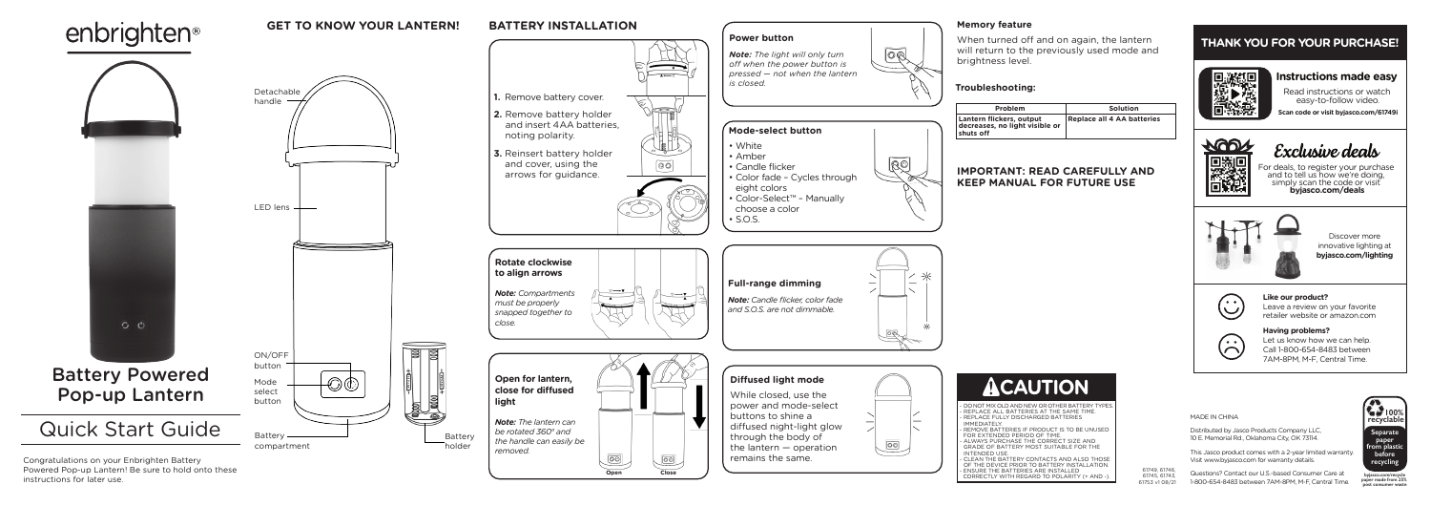MADE IN CHINA

Distributed by Jasco Products Company LLC, 10 E. Memorial Rd., Oklahoma City, OK 73114.

This Jasco product comes with a 2-year limited warranty. Visit www.byjasco.com for warranty details.

Questions? Contact our U.S.-based Consumer Care at 1-800-654-8483 between 7AM-8PM, M-F, Central Time.



**byjasco.com/recycle paper made from 25% post consumer waste**



|    | Solution                   |
|----|----------------------------|
| or | Replace all 4 AA batteries |

# **IMPORTANT: READ CAREFULLY AND**

# **THANK YOU FOR YOUR PURCHASE! THANK YOU FOR YOUR PURCHASE!**



### **Like our product? Like our product?**

Leave a review on your favorite Leave a review on your favorite retailer website or amazon.com retailer website or amazon.com

### **Having problems? Having problems?**

Let us know how we can help. Let us know how we can help. Call 1-800-654-8483 between Call 1-800-654-8483 between 7AM-8PM, M-F, Central Time. 7AM-8PM, M-F, Central Time.

Discover more Discover more innovative lighting at innovative lighting at **byjasco.com/lighting byjasco.com/lighting**



# **Instructions made easy Instructions made easy**



will return to the previously used mode and

**Scan code or visit byjasco.com/61749i Scan code or visit byjasco.com/63180i**



Exclusive deals

Read instructions or watch Read instructions or watch easy-to-follow video. easy-to-follow video.

For deals, to register your purchase and to tell us how we're doing, For deals, to register your purchase and to tell us how we're doing, simply scan the code or visit **byjasco.com/deals** simply scan the code or visit **byjasco.com/deals**



61749, 61746, 61745, 61743, 61753 v1 08/21